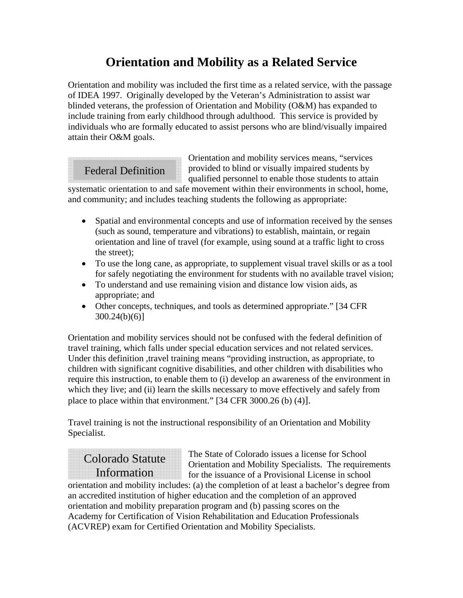## **Orientation and Mobility as a Related Service**

Orientation and mobility was included the first time as a related service, with the passage of IDEA 1997. Originally developed by the Veteran's Administration to assist war blinded veterans, the profession of Orientation and Mobility (O&M) has expanded to include training from early childhood through adulthood. This service is provided by individuals who are formally educated to assist persons who are blind/visually impaired attain their O&M goals.

### Federal Definition

Orientation and mobility services means, "services provided to blind or visually impaired students by qualified personnel to enable those students to attain

systematic orientation to and safe movement within their environments in school, home, and community; and includes teaching students the following as appropriate:

- Spatial and environmental concepts and use of information received by the senses (such as sound, temperature and vibrations) to establish, maintain, or regain orientation and line of travel (for example, using sound at a traffic light to cross the street);
- To use the long cane, as appropriate, to supplement visual travel skills or as a tool for safely negotiating the environment for students with no available travel vision;
- To understand and use remaining vision and distance low vision aids, as appropriate; and
- Other concepts, techniques, and tools as determined appropriate." [34 CFR] 300.24(b)(6)]

Orientation and mobility services should not be confused with the federal definition of travel training, which falls under special education services and not related services. Under this definition ,travel training means "providing instruction, as appropriate, to children with significant cognitive disabilities, and other children with disabilities who require this instruction, to enable them to (i) develop an awareness of the environment in which they live; and (ii) learn the skills necessary to move effectively and safely from place to place within that environment." [34 CFR 3000.26 (b) (4)].

Travel training is not the instructional responsibility of an Orientation and Mobility Specialist.

## Colorado Statute Information

The State of Colorado issues a license for School Orientation and Mobility Specialists. The requirements for the issuance of a Provisional License in school

orientation and mobility includes: (a) the completion of at least a bachelor's degree from an accredited institution of higher education and the completion of an approved orientation and mobility preparation program and (b) passing scores on the Academy for Certification of Vision Rehabilitation and Education Professionals (ACVREP) exam for Certified Orientation and Mobility Specialists.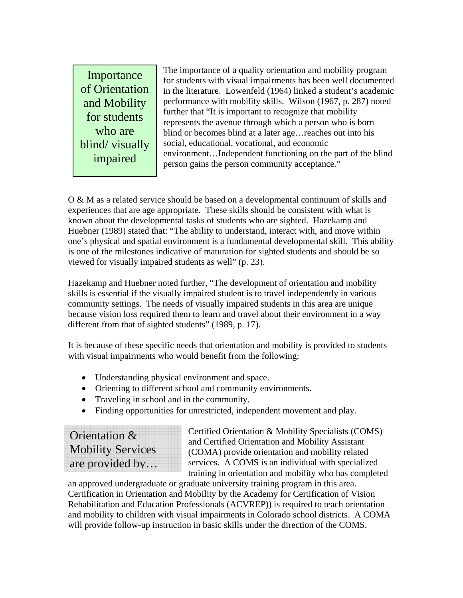Importance of Orientation and Mobility for students who are blind/ visually impaired

The importance of a quality orientation and mobility program for students with visual impairments has been well documented in the literature. Lowenfeld (1964) linked a student's academic performance with mobility skills. Wilson (1967, p. 287) noted further that "It is important to recognize that mobility represents the avenue through which a person who is born blind or becomes blind at a later age…reaches out into his social, educational, vocational, and economic environment…Independent functioning on the part of the blind person gains the person community acceptance."

O & M as a related service should be based on a developmental continuum of skills and experiences that are age appropriate. These skills should be consistent with what is known about the developmental tasks of students who are sighted. Hazekamp and Huebner (1989) stated that: "The ability to understand, interact with, and move within one's physical and spatial environment is a fundamental developmental skill. This ability is one of the milestones indicative of maturation for sighted students and should be so viewed for visually impaired students as well" (p. 23).

Hazekamp and Huebner noted further, "The development of orientation and mobility skills is essential if the visually impaired student is to travel independently in various community settings. The needs of visually impaired students in this area are unique because vision loss required them to learn and travel about their environment in a way different from that of sighted students" (1989, p. 17).

It is because of these specific needs that orientation and mobility is provided to students with visual impairments who would benefit from the following:

- Understanding physical environment and space.
- Orienting to different school and community environments.
- Traveling in school and in the community.
- Finding opportunities for unrestricted, independent movement and play.

Orientation & Mobility Services are provided by… Certified Orientation & Mobility Specialists (COMS) and Certified Orientation and Mobility Assistant (COMA) provide orientation and mobility related services. A COMS is an individual with specialized training in orientation and mobility who has completed

an approved undergraduate or graduate university training program in this area. Certification in Orientation and Mobility by the Academy for Certification of Vision Rehabilitation and Education Professionals (ACVREP)) is required to teach orientation and mobility to children with visual impairments in Colorado school districts. A COMA will provide follow-up instruction in basic skills under the direction of the COMS.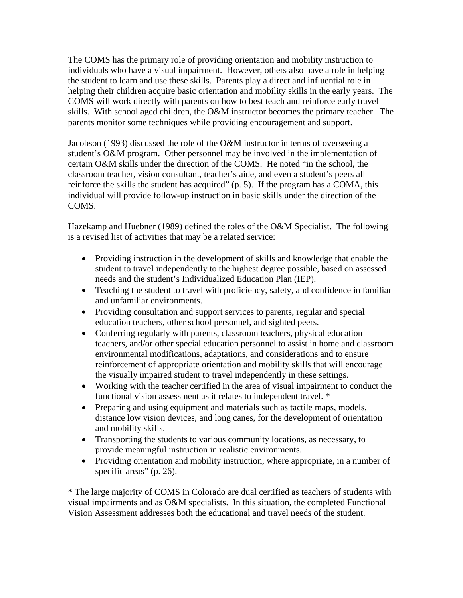The COMS has the primary role of providing orientation and mobility instruction to individuals who have a visual impairment. However, others also have a role in helping the student to learn and use these skills. Parents play a direct and influential role in helping their children acquire basic orientation and mobility skills in the early years. The COMS will work directly with parents on how to best teach and reinforce early travel skills. With school aged children, the O&M instructor becomes the primary teacher. The parents monitor some techniques while providing encouragement and support.

Jacobson (1993) discussed the role of the O&M instructor in terms of overseeing a student's O&M program. Other personnel may be involved in the implementation of certain O&M skills under the direction of the COMS. He noted "in the school, the classroom teacher, vision consultant, teacher's aide, and even a student's peers all reinforce the skills the student has acquired" (p. 5). If the program has a COMA, this individual will provide follow-up instruction in basic skills under the direction of the COMS.

Hazekamp and Huebner (1989) defined the roles of the O&M Specialist. The following is a revised list of activities that may be a related service:

- Providing instruction in the development of skills and knowledge that enable the student to travel independently to the highest degree possible, based on assessed needs and the student's Individualized Education Plan (IEP).
- Teaching the student to travel with proficiency, safety, and confidence in familiar and unfamiliar environments.
- Providing consultation and support services to parents, regular and special education teachers, other school personnel, and sighted peers.
- Conferring regularly with parents, classroom teachers, physical education teachers, and/or other special education personnel to assist in home and classroom environmental modifications, adaptations, and considerations and to ensure reinforcement of appropriate orientation and mobility skills that will encourage the visually impaired student to travel independently in these settings.
- Working with the teacher certified in the area of visual impairment to conduct the functional vision assessment as it relates to independent travel. \*
- Preparing and using equipment and materials such as tactile maps, models, distance low vision devices, and long canes, for the development of orientation and mobility skills.
- Transporting the students to various community locations, as necessary, to provide meaningful instruction in realistic environments.
- Providing orientation and mobility instruction, where appropriate, in a number of specific areas" (p. 26).

\* The large majority of COMS in Colorado are dual certified as teachers of students with visual impairments and as O&M specialists. In this situation, the completed Functional Vision Assessment addresses both the educational and travel needs of the student.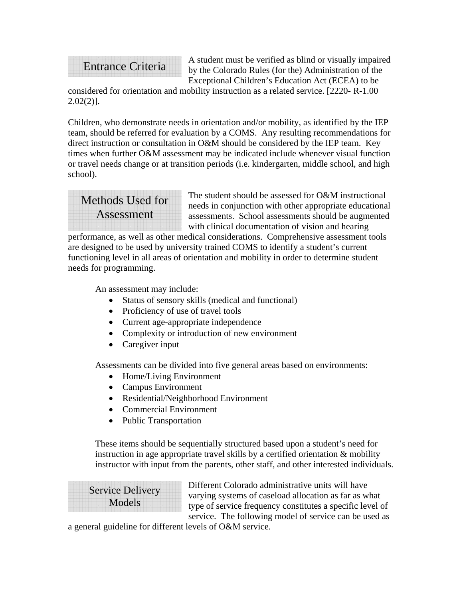# Entrance Criteria

A student must be verified as blind or visually impaired by the Colorado Rules (for the) Administration of the Exceptional Children's Education Act (ECEA) to be

considered for orientation and mobility instruction as a related service. [2220- R-1.00  $2.02(2)$ ].

Children, who demonstrate needs in orientation and/or mobility, as identified by the IEP team, should be referred for evaluation by a COMS. Any resulting recommendations for direct instruction or consultation in O&M should be considered by the IEP team. Key times when further O&M assessment may be indicated include whenever visual function or travel needs change or at transition periods (i.e. kindergarten, middle school, and high school).



The student should be assessed for O&M instructional needs in conjunction with other appropriate educational assessments. School assessments should be augmented with clinical documentation of vision and hearing

performance, as well as other medical considerations. Comprehensive assessment tools are designed to be used by university trained COMS to identify a student's current functioning level in all areas of orientation and mobility in order to determine student needs for programming.

An assessment may include:

- Status of sensory skills (medical and functional)
- Proficiency of use of travel tools
- Current age-appropriate independence
- Complexity or introduction of new environment
- Caregiver input

Assessments can be divided into five general areas based on environments:

- Home/Living Environment
- Campus Environment
- Residential/Neighborhood Environment
- Commercial Environment
- Public Transportation

These items should be sequentially structured based upon a student's need for instruction in age appropriate travel skills by a certified orientation & mobility instructor with input from the parents, other staff, and other interested individuals.

Service Delivery Models

Different Colorado administrative units will have varying systems of caseload allocation as far as what type of service frequency constitutes a specific level of service. The following model of service can be used as

a general guideline for different levels of O&M service.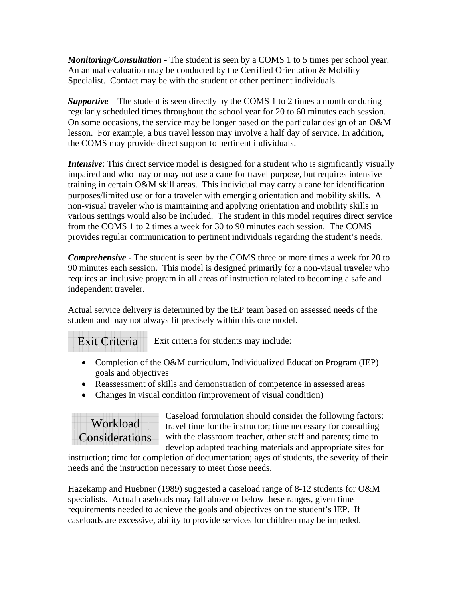*Monitoring/Consultation* - The student is seen by a COMS 1 to 5 times per school year. An annual evaluation may be conducted by the Certified Orientation & Mobility Specialist. Contact may be with the student or other pertinent individuals.

*Supportive* – The student is seen directly by the COMS 1 to 2 times a month or during regularly scheduled times throughout the school year for 20 to 60 minutes each session. On some occasions, the service may be longer based on the particular design of an O&M lesson. For example, a bus travel lesson may involve a half day of service. In addition, the COMS may provide direct support to pertinent individuals.

*Intensive*: This direct service model is designed for a student who is significantly visually impaired and who may or may not use a cane for travel purpose, but requires intensive training in certain O&M skill areas. This individual may carry a cane for identification purposes/limited use or for a traveler with emerging orientation and mobility skills. A non-visual traveler who is maintaining and applying orientation and mobility skills in various settings would also be included. The student in this model requires direct service from the COMS 1 to 2 times a week for 30 to 90 minutes each session. The COMS provides regular communication to pertinent individuals regarding the student's needs.

*Comprehensive* - The student is seen by the COMS three or more times a week for 20 to 90 minutes each session. This model is designed primarily for a non-visual traveler who requires an inclusive program in all areas of instruction related to becoming a safe and independent traveler.

Actual service delivery is determined by the IEP team based on assessed needs of the student and may not always fit precisely within this one model.

Exit criteria for students may include: Exit Criteria

- Completion of the O&M curriculum, Individualized Education Program (IEP) goals and objectives
- Reassessment of skills and demonstration of competence in assessed areas
- Changes in visual condition (improvement of visual condition)

## Workload Considerations

Caseload formulation should consider the following factors: travel time for the instructor; time necessary for consulting with the classroom teacher, other staff and parents; time to develop adapted teaching materials and appropriate sites for

instruction; time for completion of documentation; ages of students, the severity of their needs and the instruction necessary to meet those needs.

Hazekamp and Huebner (1989) suggested a caseload range of 8-12 students for O&M specialists. Actual caseloads may fall above or below these ranges, given time requirements needed to achieve the goals and objectives on the student's IEP. If caseloads are excessive, ability to provide services for children may be impeded.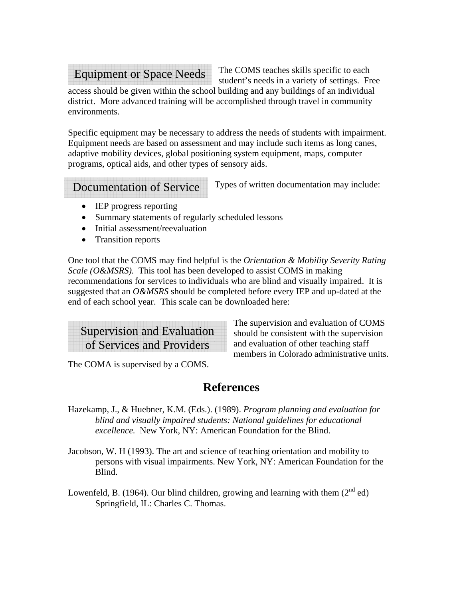#### Equipment or Space Needs

The COMS teaches skills specific to each student's needs in a variety of settings. Free

access should be given within the school building and any buildings of an individual district. More advanced training will be accomplished through travel in community environments.

Specific equipment may be necessary to address the needs of students with impairment. Equipment needs are based on assessment and may include such items as long canes, adaptive mobility devices, global positioning system equipment, maps, computer programs, optical aids, and other types of sensory aids.

#### Documentation of Service

Types of written documentation may include:

- IEP progress reporting
- Summary statements of regularly scheduled lessons
- Initial assessment/reevaluation
- Transition reports

One tool that the COMS may find helpful is the *Orientation & Mobility Severity Rating Scale (O&MSRS).* This tool has been developed to assist COMS in making recommendations for services to individuals who are blind and visually impaired. It is suggested that an *O&MSRS* should be completed before every IEP and up-dated at the end of each school year. This scale can be downloaded here:

Supervision and Evaluation of Services and Providers

The supervision and evaluation of COMS should be consistent with the supervision and evaluation of other teaching staff members in Colorado administrative units.

The COMA is supervised by a COMS.

#### **References**

- Hazekamp, J., & Huebner, K.M. (Eds.). (1989). *Program planning and evaluation for blind and visually impaired students: National guidelines for educational excellence.* New York, NY: American Foundation for the Blind.
- Jacobson, W. H (1993). The art and science of teaching orientation and mobility to persons with visual impairments. New York, NY: American Foundation for the Blind.
- Lowenfeld, B. (1964). Our blind children, growing and learning with them  $(2^{nd}$  ed) Springfield, IL: Charles C. Thomas.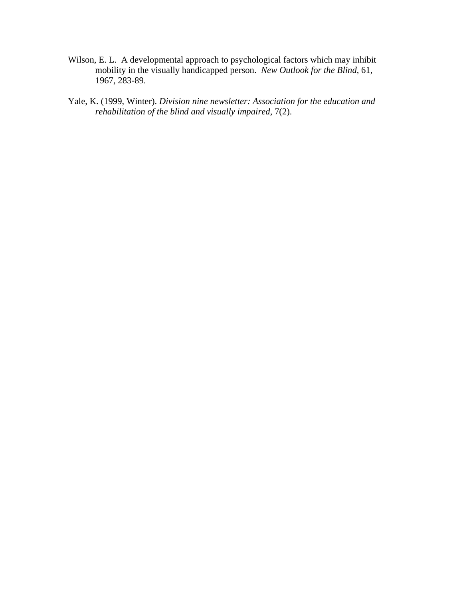- Wilson, E. L. A developmental approach to psychological factors which may inhibit mobility in the visually handicapped person. *New Outlook for the Blind*, 61, 1967, 283-89.
- Yale, K. (1999, Winter). *Division nine newsletter: Association for the education and rehabilitation of the blind and visually impaired*, 7(2).